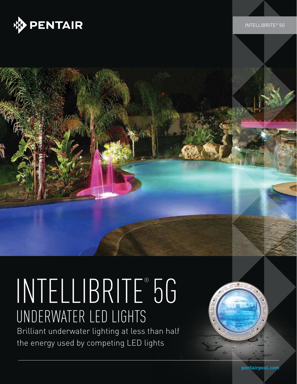

# INTELLIBRITE® 5G underwater led lights

Brilliant underwater lighting at less than half the energy used by competing LED lights

**pentairpool.com**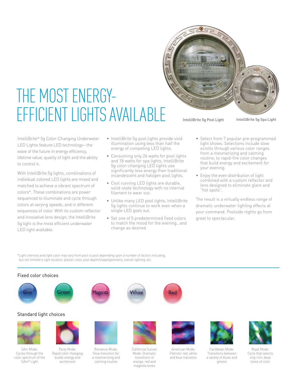

IntelliBrite® 5g Color-Changing Underwater LED Lights feature LED technology—the wave of the future in energy efficiency, lifetime value, quality of light and the ability to control it.

THE MOST ENERGY-

With IntelliBrite 5g lights, combinations of individual colored LED lights are mixed and matched to achieve a vibrant spectrum of colors\*. These combinations are power sequenced to illuminate and cycle through colors at varying speeds, and in different sequences of color. With its custom reflector and innovative lens design, the IntelliBrite 5g light is the most efficient underwater LED light available.

- • IntelliBrite 5g pool lights provide vivid illumination using less than half the energy of competing LED lights.
- Consuming only 26 watts for pool lights and 18 watts for spa lights, IntelliBrite 5g color-changing LED lights use significantly less energy than traditional incandescent and halogen pool lights.
- Cool running LED lights are durable, solid-state technology with no internal filament to wear out.
- Unlike many LED pool lights, IntelliBrite 5g lights continue to work even when a single LED goes out.
- Set one of 5 predetermined fixed colors to match the mood for the evening…and change as desired.
- • Select from 7 popular pre-programmed light shows. Selections include slow scrolls through various color ranges from a mesmerizing and calming routine, to rapid-fire color changes that build energy and excitement for your evening.
- Enjoy the even distribution of light combined with a custom reflector and lens designed to eliminate glare and "hot spots".

The result is a virtually endless range of dramatic underwater lighting effects at your command. Poolside nights go from great to spectacular.

\*Light intensity and light color may vary from pool to pool depending upon a number of factors including, but not limited to light location, plaster color, pool depth/shape/geometry, overall lighting, etc.

> Romance Mode: Slow transition for a mesmerizing and calming routine





#### Standard light choices



S*Am* Mode: Cycles through the color spectrum of the S*Am*® Light



Party Mode: Rapid color changing builds energy and excitement







California Sunset Mode: Dramatic transitions of orange, red and magenta tones



American Mode: Patriotic red, white and blue transition



Caribbean Mode: Transitions between a variety of blues and greens



Royal Mode: Cycle that selects only rich, deep tones of color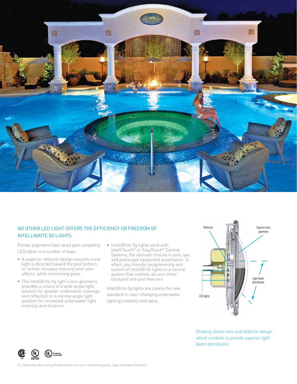

#### No other LED light offers the efficiency or freedom of IntelliBrite 5g lights

Pentair engineers have raced past competing LED lights in a number of ways.

- A superior reflector design assures more light is directed toward the pool bottom to further increase intensity and color effects, while minimizing glare.
- The IntelliBrite 5g light's lens geometry provides a choice of a wide angle light position for greater underwater coverage and reflection or a narrow angle light position for increased underwater light intensity and distance.
- IntelliBrite 5g lights work with IntelliTouch® or EasyTouch® Control Systems, the ultimate choices in pool, spa and poolscape equipment automation. In effect, you transfer programming and control of IntelliBrite lights to a central system that controls all your other backyard and pool features.

IntelliBrite 5g lights are clearly the new standard in color-changing underwater lighting creativity and value.



*Drawing shows lens and reflector design which combine to provide superior light beam distribution*